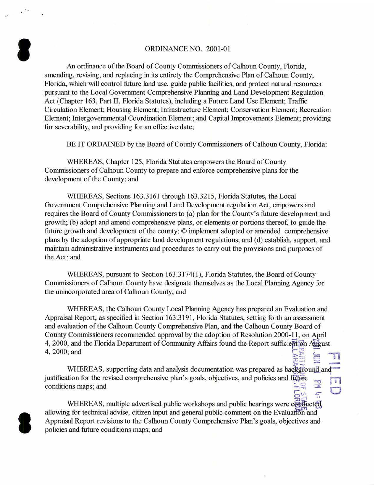## ORDINANCE NO. 2001-01

..

8

I

An ordinance of the Board of County Commissioners of Calhoun County, Florida, amending, revising, and replacing in its entirety the Comprehensive Plan of Calhoun County, Florida, which will control future land use, guide public facilities, and protect natural resources pursuant to the Local Government Comprehensive Planning and Land Development Regulation Act (Chapter 163, Part II, Florida Statutes), including a Future Land Use Element; Traffic Circulation Element; Housing Element; Infrastructure Element; Conservation Element; Recreation Element; Intergovernmental Coordination Element; and Capital Improvements Element; providing for severability, and providing for an effective date;

BE IT ORDAINED by the Board of County Commissioners of Calhoun County, Florida:

WHEREAS, Chapter 125, Florida Statutes empowers the Board of County Commissioners of Calhoun County to prepare and enforce comprehensive plans for the development of the County; and

WHEREAS, Sections 163.3161 through 163.3215, Florida Statutes, the Local Government Comprehensive Planning and Land Development regulation Act, empowers and requires the Board of County Commissioners to (a) plan for the County's future development and growth; (b) adopt and amend comprehensive plans, or elements or portions thereof, to guide the future growth and development of the county; © implement adopted or amended comprehensive plans by the adoption of appropriate land development regulations; and (d) establish, support, and maintain administrative instruments and procedures to carry out the provisions and purposes of the Act; and

WHEREAS, pursuant to Section 163.3174(1), Florida Statutes, the Board of County Commissioners of Calhoun County have designate themselves as the Local Planning Agency for the unincorporated area of Calhoun County; and

WHEREAS, the Calhoun County Local Planning Agency has prepared an Evaluation and Appraisal Report, as specified in Section 163.3191, Florida Statutes, setting forth an assessment and evaluation of the Calhoun County Comprehensive Plan, and the Calhoun County Board of County Commissioners recommended approval by the adoption of Resolution 2000-11, on April 4, 2000, and the Florida Department of Community Affairs found the Report sufficient on August 4, 2000; and  $\overline{\geq}$   $\overline{\stackrel{3}{\geq}}$   $\overline{\stackrel{3}{\geq}}$   $\overline{\stackrel{4}{\geq}}$   $\overline{\stackrel{5}{\geq}}$   $\overline{\stackrel{5}{\geq}}$   $\overline{\stackrel{6}{\geq}}$   $\overline{\stackrel{7}{\geq}}$ 

 $\varphi\equiv -\pi$  : WHEREAS, supporting data and analysis documentation was prepared as background and WHEREAS, supporting data and analysis documentation was prepared as background and<br>justification for the revised comprehensive plan's goals, objectives, and policies and future conditions maps; and  $\frac{1}{2}$  : and  $\frac{1}{2}$  :  $\frac{1}{2}$  :  $\frac{1}{2}$  :  $\frac{1}{2}$  :  $\frac{1}{2}$  :  $\frac{1}{2}$  :  $\frac{1}{2}$  :  $\frac{1}{2}$  :  $\frac{1}{2}$  :  $\frac{1}{2}$  :  $\frac{1}{2}$  :  $\frac{1}{2}$  :  $\frac{1}{2}$  :  $\frac{1}{2}$  :  $\frac{1}{2}$  :  $\frac{$  $\frac{15}{50}$ <br> $\frac{15}{50}$ <br> $\frac{15}{50}$ 

WHEREAS, multiple advertised public workshops and public hearings were conducted allowing for technical advise, citizen input and general public comment on the Evaluation and Appraisal Report revisions to the Calhoun County Comprehensive Plan's goals, objectives and policies and future conditions maps; and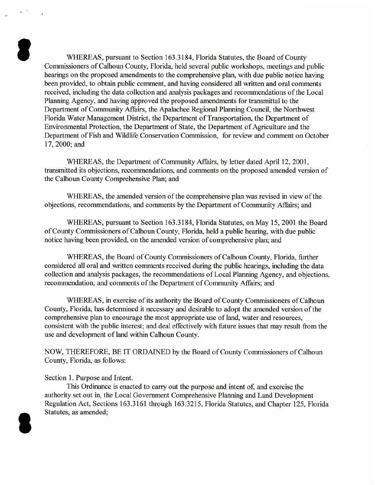WHEREAS, pursuant to Section 163.3184, Florida Statutes, the Board of County Commissioners of Calhoun County, Florida, held several public workshops, meetings and public hearings on the proposed amendments to the comprehensive plan, with due public notice having been provided, to obtain public comment, and having considered all written and oral comments received, including the data collection and analysis packages and recommendations of the Local Planning Agency, and having approved the proposed amendments for transmittal to the Department of Community Affairs, the Apalachee Regional Planning Council, the Northwest Florida Water Management District, the Department of Transportation, the Department of Environmental Protection, the Department of State, the Department of Agriculture and the Department of Fish and Wildlife Conservation Commission, for review and comment on October 17, 2000;and

WHEREAS, the Department of Community Affairs, by letter dated April 12, 2001, transmitted its objections, recommendations, and comments on the proposed amended version of the Calhoun County Comprehensive Plan; and

WHEREAS, the amended version of the comprehensive plan was revised in view of the objections, recommendations, and comments by the Department of Community Affairs; and

WHEREAS, pursuant to Section 163.3184, Florida Statutes, on May 15, 2001 the Board of County Commissioners of Calhoun County, Florida, held a public hearing, with due public notice having been provided, on the amended version of comprehensive plan; and

WHEREAS, the Board of County Commissioners of Calhoun County, Florida, further considered all oral and written comments received during the public hearings, including the data collection and analysis packages, the recommendations of Local Planning Agency, and objections, recommendation, and comments of the Department of Community Affairs; and

WHEREAS, in exercise of its authority the Board of County Commissioners of Calhoun County, Florida, has determined it necessary and desirable to adopt the amended version of the comprehensive plan to encourage the most appropriate use of land, water and resources, consistent with the public interest; and deal effectively with future issues that may result from the use and development of land within Calhoun County.

NOW, THEREFORE, BE IT ORDAINED by the Board of County Commissioners of Calhoun County, Florida, as follows:

## Section 1. Purpose and Intent.

I

I

This Ordinance is enacted to carry out the purpose and intent of, and exercise the authority set out in, the Local Government Comprehensive Planning and Land Development Regulation Act, Sections 163.3161 through 163.3215, Florida Statutes, and Chapter 125, Florida Statutes, as amended;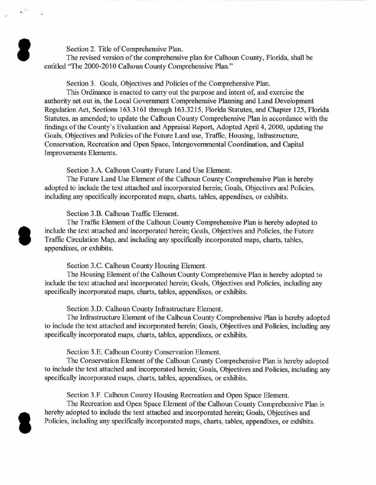Section 2. Title of Comprehensive Plan.

·'

I

**S** 

I

The revised version of the comprehensive plan for Calhoun County, Florida, shall be entitled "The 2000-2010 Calhoun County Comprehensive Plan."

Section 3. Goals, Objectives and Policies of the Comprehensive Plan.

This Ordinance is enacted to carry out the purpose and intent of, and exercise the authority set out in, the Local Government Comprehensive Planning and Land Development Regulation Act, Sections 163.3161 through 163.3215, Florida Statutes, and Chapter 125, Florida Statutes, as amended; to update the Calhoun County Comprehensive Plan in accordance with the findings of the County's Evaluation and Appraisal Report, Adopted April 4, 2000, updating the Goals, Objectives and Policies of the Future Land use, Traffic, Housing, Infrastructure, Conservation, Recreation and Open Space, Intergovernmental Coordination, and Capital Improvements Elements.

Section 3.A. Calhoun County Future Land Use Element.

The Future Land Use Element of the Calhoun County Comprehensive Plan is hereby adopted to include the text attached and incorporated herein; Goals, Objectives and Policies, including any specifically incorporated maps, charts, tables, appendixes, or exhibits.

Section 3.B. Calhoun Traffic Element.

The Traffic Element of the Calhoun County Comprehensive Plan is hereby adopted to include the text attached and incorporated herein; Goals, Objectives and Policies, the Future Traffic Circulation Map, and including any specifically incorporated maps, charts, tables, appendixes, or exhibits.

Section 3.C. Calhoun County Housing Element.

The Housing Element of the Calhoun County Comprehensive Plan is hereby adopted to include the text attached and incorporated herein; Goals, Objectives and Policies, including any specifically incorporated maps, charts, tables, appendixes, or exhibits.

Section 3.D. Calhoun County Infrastructure Element.

The Infrastructure Element of the Calhoun County Comprehensive Plan is hereby adopted to include the text attached and incorporated herein; Goals, Objectives and Policies, including any specifically incorporated maps, charts, tables, appendixes, or exhibits.

Section 3.E. Calhoun County Conservation Element.

The Conservation Element of the Calhoun County Comprehensive Plan is hereby adopted to include the text attached and incorporated herein; Goals, Objectives and Policies, including any specifically incorporated maps, charts, tables, appendixes, or exhibits.

Section 3.F. Calhoun County Housing Recreation and Open Space Element.

The Recreation and Open Space Element of the Calhoun County Comprehensive Plan is hereby adopted to include the text attached and incorporated herein; Goals, Objectives and Policies, including any specifically incorporated maps, charts, tables, appendixes, or exhibits.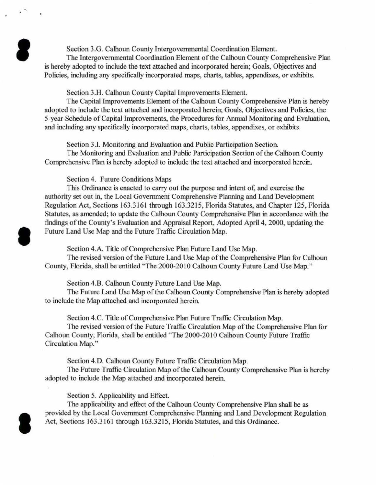Section 3.G. Calhoun County Intergovernmental Coordination Element.

The Intergovernmental Coordination Element of the Calhoun County Comprehensive Plan is hereby adopted to include the text attached and incorporated herein; Goals, Objectives and Policies, including any specifically incorporated maps, charts. tables, appendixes, or exhibits.

Section 3.H. Calhoun County Capital Improvements Element.

The Capital Improvements Element of the Calhoun County Comprehensive Plan is hereby adopted to include the text attached and incorporated herein; Goals, Objectives and Policies, the 5-year Schedule of Capital Improvements, the Procedures for Annual Monitoring and Evaluation, and including any specifically incorporated maps, charts, tables, appendixes, or exhibits.

Section 3.1. Monitoring and Evaluation and Public Participation Section.

The Monitoring and Evaluation and Public Participation Section of the Calhoun County Comprehensive Plan is hereby adopted to include the text attached and incorporated herein.

Section 4. Future Conditions Maps

8

**I** 

I

This Ordinance is enacted to carry out the purpose and intent of. and exercise the authority set out in, the Local Government Comprehensive Planning and Land Development Regulation Act, Sections 163.3161 through 163.3215, Florida Statutes, and Chapter 125, Florida Statutes, as amended; to update the Calhoun County Comprehensive Plan in accordance with the findings of the County's Evaluation and Appraisal Report, Adopted April 4, 2000, updating the Future Land Use Map and the Future Traffic Circulation Map.

Section 4.A. Title of Comprehensive Plan Future Land Use Map.

The revised version of the Future Land Use Map of the Comprehensive Plan for Calhoun County, Florida, shall be entitled "The 2000-2010 Calhoun County Future Land Use Map."

Section 4.B. Calhoun County Future Land Use Map.

The Future Land Use Map of the Calhoun County Comprehensive Plan is hereby adopted to include the Map attached and incorporated herein.

Section 4.C. Title of Comprehensive Plan Future Traffic Circulation Map.

The revised version of the Future Traffic Circulation Map of the Comprehensive Plan for Calhoun County, Florida, shall be entitled "The 2000-2010 Calhoun County Future Traffic Circulation Map."

Section 4.D. Calhoun County Future Traffic Circulation Map.

The Future Traffic Circulation Map of the Calhoun County Comprehensive Plan is hereby adopted to include the Map attached and incorporated herein.

Section 5. Applicability and Effect.

The applicability and effect of the Calhoun County Comprehensive Plan shall be as provided by the Local Government Comprehensive Planning and Land Development Regulation Act, Sections 163.3161 through 163.3215, Florida Statutes, and this Ordinance.